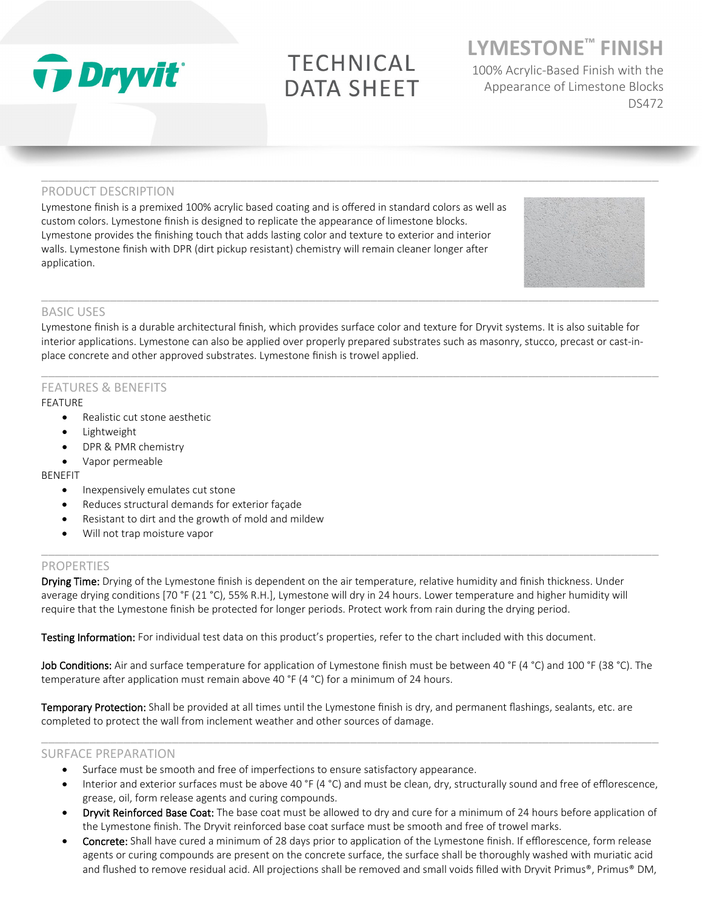

# **TECHNICAL DATA SHEET**

 $\_$  ,  $\_$  ,  $\_$  ,  $\_$  ,  $\_$  ,  $\_$  ,  $\_$  ,  $\_$  ,  $\_$  ,  $\_$  ,  $\_$  ,  $\_$  ,  $\_$  ,  $\_$  ,  $\_$  ,  $\_$  ,  $\_$  ,  $\_$  ,  $\_$  ,  $\_$  ,  $\_$  ,  $\_$  ,  $\_$  ,  $\_$  ,  $\_$  ,  $\_$  ,  $\_$  ,  $\_$  ,  $\_$  ,  $\_$  ,  $\_$  ,  $\_$  ,  $\_$  ,  $\_$  ,  $\_$  ,  $\_$  ,  $\_$  ,

# **LYMESTONE™ FINISH**

100% Acrylic-Based Finish with the Appearance of Limestone Blocks DS472

# PRODUCT DESCRIPTION

Lymestone finish is a premixed 100% acrylic based coating and is offered in standard colors as well as custom colors. Lymestone finish is designed to replicate the appearance of limestone blocks. Lymestone provides the finishing touch that adds lasting color and texture to exterior and interior walls. Lymestone finish with DPR (dirt pickup resistant) chemistry will remain cleaner longer after application.



# BASIC USES

Lymestone finish is a durable architectural finish, which provides surface color and texture for Dryvit systems. It is also suitable for interior applications. Lymestone can also be applied over properly prepared substrates such as masonry, stucco, precast or cast-inplace concrete and other approved substrates. Lymestone finish is trowel applied.

 $\_$  ,  $\_$  ,  $\_$  ,  $\_$  ,  $\_$  ,  $\_$  ,  $\_$  ,  $\_$  ,  $\_$  ,  $\_$  ,  $\_$  ,  $\_$  ,  $\_$  ,  $\_$  ,  $\_$  ,  $\_$  ,  $\_$  ,  $\_$  ,  $\_$  ,  $\_$  ,  $\_$  ,  $\_$  ,  $\_$  ,  $\_$  ,  $\_$  ,  $\_$  ,  $\_$  ,  $\_$  ,  $\_$  ,  $\_$  ,  $\_$  ,  $\_$  ,  $\_$  ,  $\_$  ,  $\_$  ,  $\_$  ,  $\_$  ,

# FEATURES & BENEFITS

# FEATURE

- Realistic cut stone aesthetic
- **Lightweight**
- DPR & PMR chemistry
- Vapor permeable

# BENEFIT

- Inexpensively emulates cut stone
- Reduces structural demands for exterior façade
- Resistant to dirt and the growth of mold and mildew
- Will not trap moisture vapor

# **PROPERTIES**

Drying Time: Drying of the Lymestone finish is dependent on the air temperature, relative humidity and finish thickness. Under average drying conditions [70 °F (21 °C), 55% R.H.], Lymestone will dry in 24 hours. Lower temperature and higher humidity will require that the Lymestone finish be protected for longer periods. Protect work from rain during the drying period.

 $\_$  ,  $\_$  ,  $\_$  ,  $\_$  ,  $\_$  ,  $\_$  ,  $\_$  ,  $\_$  ,  $\_$  ,  $\_$  ,  $\_$  ,  $\_$  ,  $\_$  ,  $\_$  ,  $\_$  ,  $\_$  ,  $\_$  ,  $\_$  ,  $\_$  ,  $\_$  ,  $\_$  ,  $\_$  ,  $\_$  ,  $\_$  ,  $\_$  ,  $\_$  ,  $\_$  ,  $\_$  ,  $\_$  ,  $\_$  ,  $\_$  ,  $\_$  ,  $\_$  ,  $\_$  ,  $\_$  ,  $\_$  ,  $\_$  ,

Testing Information: For individual test data on this product's properties, refer to the chart included with this document.

Job Conditions: Air and surface temperature for application of Lymestone finish must be between 40 °F (4 °C) and 100 °F (38 °C). The temperature after application must remain above 40 °F (4 °C) for a minimum of 24 hours.

 $\_$  ,  $\_$  ,  $\_$  ,  $\_$  ,  $\_$  ,  $\_$  ,  $\_$  ,  $\_$  ,  $\_$  ,  $\_$  ,  $\_$  ,  $\_$  ,  $\_$  ,  $\_$  ,  $\_$  ,  $\_$  ,  $\_$  ,  $\_$  ,  $\_$  ,  $\_$  ,  $\_$  ,  $\_$  ,  $\_$  ,  $\_$  ,  $\_$  ,  $\_$  ,  $\_$  ,  $\_$  ,  $\_$  ,  $\_$  ,  $\_$  ,  $\_$  ,  $\_$  ,  $\_$  ,  $\_$  ,  $\_$  ,  $\_$  ,

Temporary Protection: Shall be provided at all times until the Lymestone finish is dry, and permanent flashings, sealants, etc. are completed to protect the wall from inclement weather and other sources of damage.

# SURFACE PREPARATION

- Surface must be smooth and free of imperfections to ensure satisfactory appearance.
- Interior and exterior surfaces must be above 40 °F (4 °C) and must be clean, dry, structurally sound and free of efflorescence, grease, oil, form release agents and curing compounds.
- Dryvit Reinforced Base Coat: The base coat must be allowed to dry and cure for a minimum of 24 hours before application of the Lymestone finish. The Dryvit reinforced base coat surface must be smooth and free of trowel marks.
- Concrete: Shall have cured a minimum of 28 days prior to application of the Lymestone finish. If efflorescence, form release agents or curing compounds are present on the concrete surface, the surface shall be thoroughly washed with muriatic acid and flushed to remove residual acid. All projections shall be removed and small voids filled with Dryvit Primus®, Primus® DM,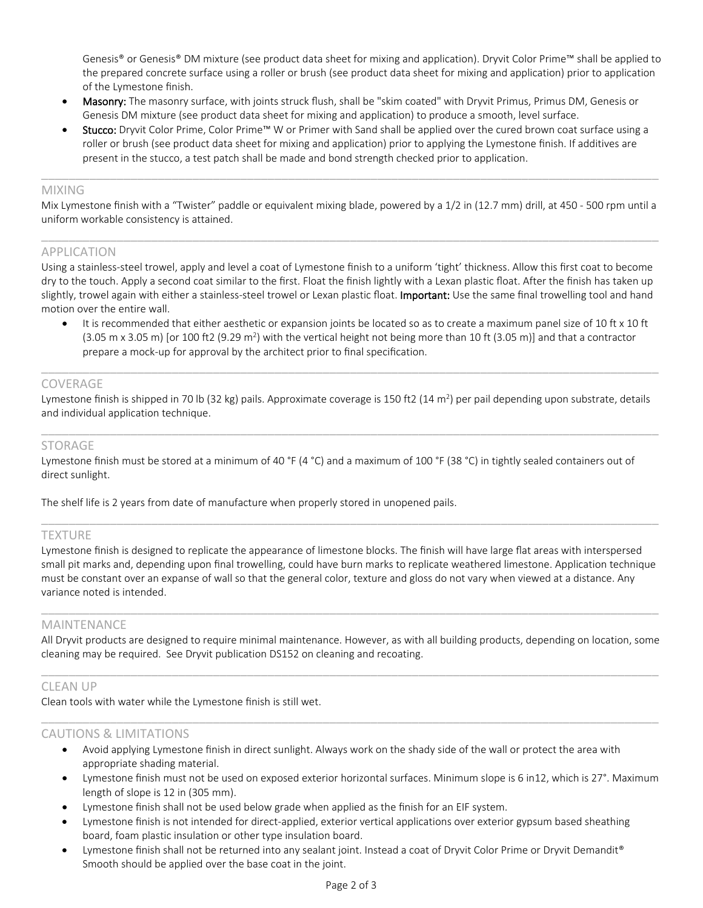Genesis® or Genesis® DM mixture (see product data sheet for mixing and application). Dryvit Color Prime™ shall be applied to the prepared concrete surface using a roller or brush (see product data sheet for mixing and application) prior to application of the Lymestone finish.

- Masonry: The masonry surface, with joints struck flush, shall be "skim coated" with Dryvit Primus, Primus DM, Genesis or Genesis DM mixture (see product data sheet for mixing and application) to produce a smooth, level surface.
- Stucco: Dryvit Color Prime, Color Prime™ W or Primer with Sand shall be applied over the cured brown coat surface using a roller or brush (see product data sheet for mixing and application) prior to applying the Lymestone finish. If additives are present in the stucco, a test patch shall be made and bond strength checked prior to application.

#### MIXING

Mix Lymestone finish with a "Twister" paddle or equivalent mixing blade, powered by a 1/2 in (12.7 mm) drill, at 450 - 500 rpm until a uniform workable consistency is attained.

 $\_$  ,  $\_$  ,  $\_$  ,  $\_$  ,  $\_$  ,  $\_$  ,  $\_$  ,  $\_$  ,  $\_$  ,  $\_$  ,  $\_$  ,  $\_$  ,  $\_$  ,  $\_$  ,  $\_$  ,  $\_$  ,  $\_$  ,  $\_$  ,  $\_$  ,  $\_$  ,  $\_$  ,  $\_$  ,  $\_$  ,  $\_$  ,  $\_$  ,  $\_$  ,  $\_$  ,  $\_$  ,  $\_$  ,  $\_$  ,  $\_$  ,  $\_$  ,  $\_$  ,  $\_$  ,  $\_$  ,  $\_$  ,  $\_$  ,

 $\_$  ,  $\_$  ,  $\_$  ,  $\_$  ,  $\_$  ,  $\_$  ,  $\_$  ,  $\_$  ,  $\_$  ,  $\_$  ,  $\_$  ,  $\_$  ,  $\_$  ,  $\_$  ,  $\_$  ,  $\_$  ,  $\_$  ,  $\_$  ,  $\_$  ,  $\_$  ,  $\_$  ,  $\_$  ,  $\_$  ,  $\_$  ,  $\_$  ,  $\_$  ,  $\_$  ,  $\_$  ,  $\_$  ,  $\_$  ,  $\_$  ,  $\_$  ,  $\_$  ,  $\_$  ,  $\_$  ,  $\_$  ,  $\_$  ,

# APPLICATION

Using a stainless-steel trowel, apply and level a coat of Lymestone finish to a uniform 'tight' thickness. Allow this first coat to become dry to the touch. Apply a second coat similar to the first. Float the finish lightly with a Lexan plastic float. After the finish has taken up slightly, trowel again with either a stainless-steel trowel or Lexan plastic float. Important: Use the same final trowelling tool and hand motion over the entire wall.

It is recommended that either aesthetic or expansion joints be located so as to create a maximum panel size of 10 ft x 10 ft  $(3.05 \text{ m} \times 3.05 \text{ m})$  [or 100 ft2  $(9.29 \text{ m}^2)$  with the vertical height not being more than 10 ft  $(3.05 \text{ m})$ ] and that a contractor prepare a mock-up for approval by the architect prior to final specification.

# COVERAGE

Lymestone finish is shipped in 70 lb (32 kg) pails. Approximate coverage is 150 ft2 (14 m<sup>2</sup>) per pail depending upon substrate, details and individual application technique.

 $\_$  ,  $\_$  ,  $\_$  ,  $\_$  ,  $\_$  ,  $\_$  ,  $\_$  ,  $\_$  ,  $\_$  ,  $\_$  ,  $\_$  ,  $\_$  ,  $\_$  ,  $\_$  ,  $\_$  ,  $\_$  ,  $\_$  ,  $\_$  ,  $\_$  ,  $\_$  ,  $\_$  ,  $\_$  ,  $\_$  ,  $\_$  ,  $\_$  ,  $\_$  ,  $\_$  ,  $\_$  ,  $\_$  ,  $\_$  ,  $\_$  ,  $\_$  ,  $\_$  ,  $\_$  ,  $\_$  ,  $\_$  ,  $\_$  ,

 $\_$  ,  $\_$  ,  $\_$  ,  $\_$  ,  $\_$  ,  $\_$  ,  $\_$  ,  $\_$  ,  $\_$  ,  $\_$  ,  $\_$  ,  $\_$  ,  $\_$  ,  $\_$  ,  $\_$  ,  $\_$  ,  $\_$  ,  $\_$  ,  $\_$  ,  $\_$  ,  $\_$  ,  $\_$  ,  $\_$  ,  $\_$  ,  $\_$  ,  $\_$  ,  $\_$  ,  $\_$  ,  $\_$  ,  $\_$  ,  $\_$  ,  $\_$  ,  $\_$  ,  $\_$  ,  $\_$  ,  $\_$  ,  $\_$  ,

# STORAGE

Lymestone finish must be stored at a minimum of 40 °F (4 °C) and a maximum of 100 °F (38 °C) in tightly sealed containers out of direct sunlight.

The shelf life is 2 years from date of manufacture when properly stored in unopened pails.

# **TEXTURE**

Lymestone finish is designed to replicate the appearance of limestone blocks. The finish will have large flat areas with interspersed small pit marks and, depending upon final trowelling, could have burn marks to replicate weathered limestone. Application technique must be constant over an expanse of wall so that the general color, texture and gloss do not vary when viewed at a distance. Any variance noted is intended.

 $\_$  ,  $\_$  ,  $\_$  ,  $\_$  ,  $\_$  ,  $\_$  ,  $\_$  ,  $\_$  ,  $\_$  ,  $\_$  ,  $\_$  ,  $\_$  ,  $\_$  ,  $\_$  ,  $\_$  ,  $\_$  ,  $\_$  ,  $\_$  ,  $\_$  ,  $\_$  ,  $\_$  ,  $\_$  ,  $\_$  ,  $\_$  ,  $\_$  ,  $\_$  ,  $\_$  ,  $\_$  ,  $\_$  ,  $\_$  ,  $\_$  ,  $\_$  ,  $\_$  ,  $\_$  ,  $\_$  ,  $\_$  ,  $\_$  ,

 $\_$  ,  $\_$  ,  $\_$  ,  $\_$  ,  $\_$  ,  $\_$  ,  $\_$  ,  $\_$  ,  $\_$  ,  $\_$  ,  $\_$  ,  $\_$  ,  $\_$  ,  $\_$  ,  $\_$  ,  $\_$  ,  $\_$  ,  $\_$  ,  $\_$  ,  $\_$  ,  $\_$  ,  $\_$  ,  $\_$  ,  $\_$  ,  $\_$  ,  $\_$  ,  $\_$  ,  $\_$  ,  $\_$  ,  $\_$  ,  $\_$  ,  $\_$  ,  $\_$  ,  $\_$  ,  $\_$  ,  $\_$  ,  $\_$  ,

# MAINTENANCE

All Dryvit products are designed to require minimal maintenance. However, as with all building products, depending on location, some cleaning may be required. See Dryvit publication DS152 on cleaning and recoating.  $\_$  ,  $\_$  ,  $\_$  ,  $\_$  ,  $\_$  ,  $\_$  ,  $\_$  ,  $\_$  ,  $\_$  ,  $\_$  ,  $\_$  ,  $\_$  ,  $\_$  ,  $\_$  ,  $\_$  ,  $\_$  ,  $\_$  ,  $\_$  ,  $\_$  ,  $\_$  ,  $\_$  ,  $\_$  ,  $\_$  ,  $\_$  ,  $\_$  ,  $\_$  ,  $\_$  ,  $\_$  ,  $\_$  ,  $\_$  ,  $\_$  ,  $\_$  ,  $\_$  ,  $\_$  ,  $\_$  ,  $\_$  ,  $\_$  ,

 $\_$  ,  $\_$  ,  $\_$  ,  $\_$  ,  $\_$  ,  $\_$  ,  $\_$  ,  $\_$  ,  $\_$  ,  $\_$  ,  $\_$  ,  $\_$  ,  $\_$  ,  $\_$  ,  $\_$  ,  $\_$  ,  $\_$  ,  $\_$  ,  $\_$  ,  $\_$  ,  $\_$  ,  $\_$  ,  $\_$  ,  $\_$  ,  $\_$  ,  $\_$  ,  $\_$  ,  $\_$  ,  $\_$  ,  $\_$  ,  $\_$  ,  $\_$  ,  $\_$  ,  $\_$  ,  $\_$  ,  $\_$  ,  $\_$  ,

# CLEAN UP

Clean tools with water while the Lymestone finish is still wet.

# CAUTIONS & LIMITATIONS

- Avoid applying Lymestone finish in direct sunlight. Always work on the shady side of the wall or protect the area with appropriate shading material.
- Lymestone finish must not be used on exposed exterior horizontal surfaces. Minimum slope is 6 in12, which is 27°. Maximum length of slope is 12 in (305 mm).
- Lymestone finish shall not be used below grade when applied as the finish for an EIF system.
- Lymestone finish is not intended for direct-applied, exterior vertical applications over exterior gypsum based sheathing board, foam plastic insulation or other type insulation board.
- Lymestone finish shall not be returned into any sealant joint. Instead a coat of Dryvit Color Prime or Dryvit Demandit® Smooth should be applied over the base coat in the joint.